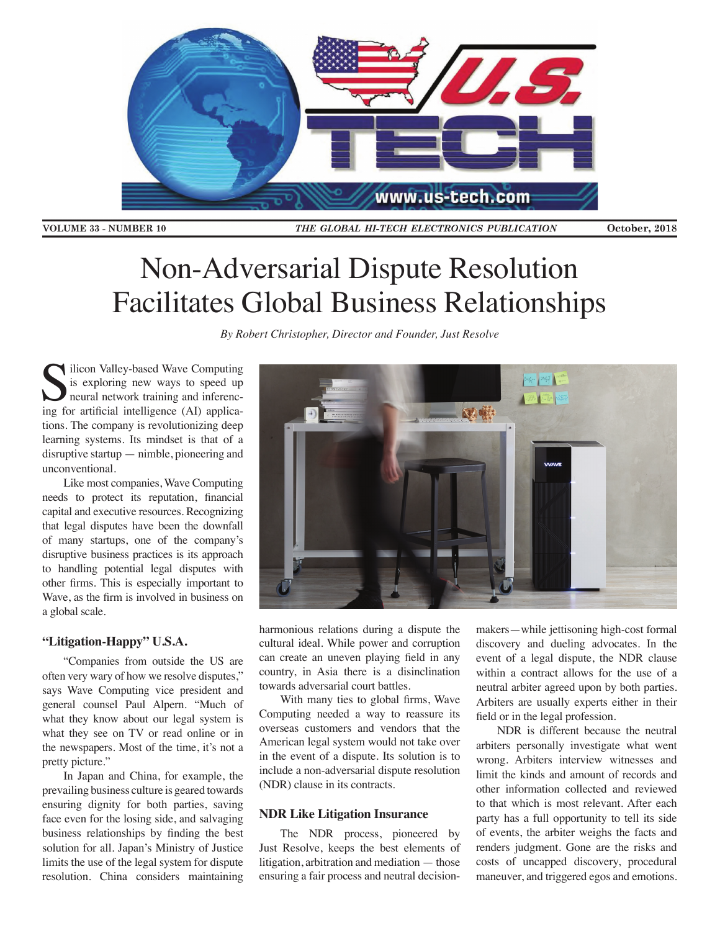

**VOLUME 33 - NUMBER 10** 

THE GLOBAL HI-TECH ELECTRONICS PUBLICATION

October, 2018

# Non-Adversarial Dispute Resolution Facilitates Global Business Relationships

*By Robert Christopher, Director and Founder, Just Resolve*

ilicon Valley-based Wave Computing is exploring new ways to speed up neural network training and inferencing for artificial intelligence (AI) applications. The company is revolutionizing deep learning systems. Its mindset is that of a disruptive startup — nimble, pioneering and unconventional.

Like most companies, Wave Computing needs to protect its reputation, financial capital and executive resources. Recognizing that legal disputes have been the downfall of many startups, one of the company's disruptive business practices is its approach to handling potential legal disputes with other firms. This is especially important to Wave, as the firm is involved in business on a global scale.

## **"Litigation-Happy" U.S.A.**

"Companies from outside the US are often very wary of how we resolve disputes," says Wave Computing vice president and general counsel Paul Alpern. "Much of what they know about our legal system is what they see on TV or read online or in the newspapers. Most of the time, it's not a pretty picture."

In Japan and China, for example, the prevailing business culture is geared towards ensuring dignity for both parties, saving face even for the losing side, and salvaging business relationships by finding the best solution for all. Japan's Ministry of Justice limits the use of the legal system for dispute resolution. China considers maintaining



harmonious relations during a dispute the cultural ideal. While power and corruption can create an uneven playing field in any country, in Asia there is a disinclination towards adversarial court battles.

With many ties to global firms, Wave Computing needed a way to reassure its overseas customers and vendors that the American legal system would not take over in the event of a dispute. Its solution is to include a non-adversarial dispute resolution (NDR) clause in its contracts.

#### **NDR Like Litigation Insurance**

The NDR process, pioneered by Just Resolve, keeps the best elements of litigation, arbitration and mediation — those ensuring a fair process and neutral decision-

makers—while jettisoning high-cost formal discovery and dueling advocates. In the event of a legal dispute, the NDR clause within a contract allows for the use of a neutral arbiter agreed upon by both parties. Arbiters are usually experts either in their field or in the legal profession.

NDR is different because the neutral arbiters personally investigate what went wrong. Arbiters interview witnesses and limit the kinds and amount of records and other information collected and reviewed to that which is most relevant. After each party has a full opportunity to tell its side of events, the arbiter weighs the facts and renders judgment. Gone are the risks and costs of uncapped discovery, procedural maneuver, and triggered egos and emotions.